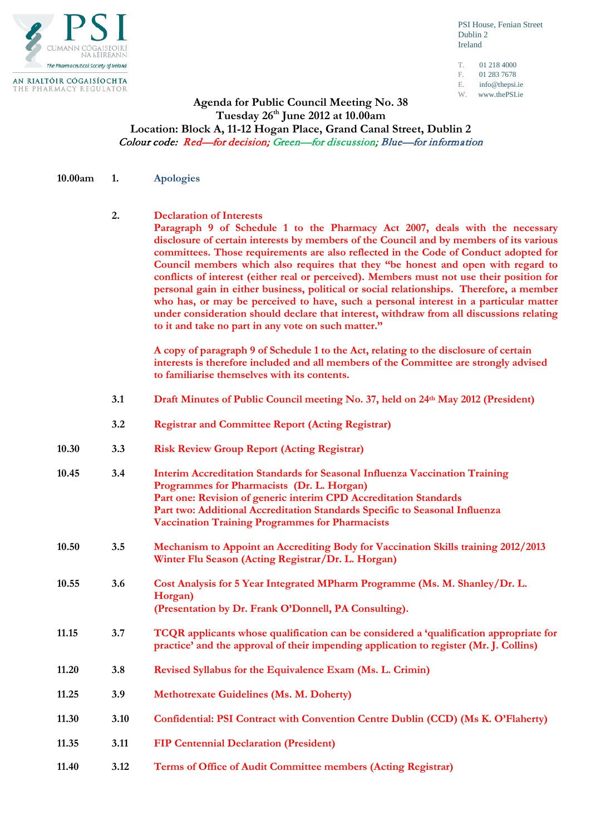

PSI House, Fenian Street Dublin 2 Ireland

T. 01 218 4000 F. 01 283 7678

- 
- E. info@thepsi.ie<br>W www.thePSI ie www.thePSI.ie
- 

## **Agenda for Public Council Meeting No. 38 Tuesday 26th June 2012 at 10.00am Location: Block A, 11-12 Hogan Place, Grand Canal Street, Dublin 2** Colour code: Red—for decision; Green—for discussion; Blue—for information

**10.00am 1. Apologies**

**2. Declaration of Interests** 

**Paragraph 9 of Schedule 1 to the Pharmacy Act 2007, deals with the necessary disclosure of certain interests by members of the Council and by members of its various committees. Those requirements are also reflected in the Code of Conduct adopted for Council members which also requires that they "be honest and open with regard to conflicts of interest (either real or perceived). Members must not use their position for personal gain in either business, political or social relationships. Therefore, a member who has, or may be perceived to have, such a personal interest in a particular matter under consideration should declare that interest, withdraw from all discussions relating to it and take no part in any vote on such matter."**

**A copy of paragraph 9 of Schedule 1 to the Act, relating to the disclosure of certain interests is therefore included and all members of the Committee are strongly advised to familiarise themselves with its contents.**

- **3.1 Draft Minutes of Public Council meeting No. 37, held on 24th May 2012 (President)**
- **3.2 Registrar and Committee Report (Acting Registrar)**
- **10.30 3.3 Risk Review Group Report (Acting Registrar)**
- **10.45 3.4 Interim Accreditation Standards for Seasonal Influenza Vaccination Training Programmes for Pharmacists (Dr. L. Horgan) Part one: Revision of generic interim CPD Accreditation Standards Part two: Additional Accreditation Standards Specific to Seasonal Influenza Vaccination Training Programmes for Pharmacists**
- **10.50 3.5 Mechanism to Appoint an Accrediting Body for Vaccination Skills training 2012/2013 Winter Flu Season (Acting Registrar/Dr. L. Horgan)**
- **10.55 3.6 Cost Analysis for 5 Year Integrated MPharm Programme (Ms. M. Shanley/Dr. L. Horgan) (Presentation by Dr. Frank O'Donnell, PA Consulting).**
- **11.15 3.7 TCQR applicants whose qualification can be considered a 'qualification appropriate for practice' and the approval of their impending application to register (Mr. J. Collins)**
- **11.20 3.8 Revised Syllabus for the Equivalence Exam (Ms. L. Crimin)**
- **11.25 3.9 Methotrexate Guidelines (Ms. M. Doherty)**
- **11.30 3.10 Confidential: PSI Contract with Convention Centre Dublin (CCD) (Ms K. O'Flaherty)**
- **11.35 3.11 FIP Centennial Declaration (President)**
- **11.40 3.12 Terms of Office of Audit Committee members (Acting Registrar)**